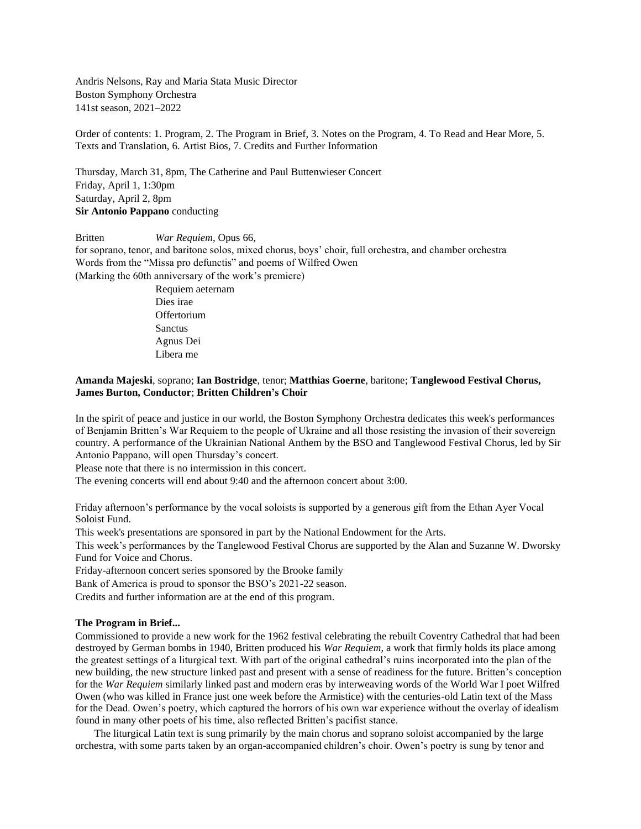Andris Nelsons, Ray and Maria Stata Music Director Boston Symphony Orchestra 141st season, 2021–2022

Order of contents: 1. Program, 2. The Program in Brief, 3. Notes on the Program, 4. To Read and Hear More, 5. Texts and Translation, 6. Artist Bios, 7. Credits and Further Information

Thursday, March 31, 8pm, The Catherine and Paul Buttenwieser Concert Friday, April 1, 1:30pm Saturday, April 2, 8pm **Sir Antonio Pappano** conducting

Britten *War Requiem*, Opus 66, for soprano, tenor, and baritone solos, mixed chorus, boys' choir, full orchestra, and chamber orchestra Words from the "Missa pro defunctis" and poems of Wilfred Owen (Marking the 60th anniversary of the work's premiere) Requiem aeternam

Dies irae **Offertorium** Sanctus Agnus Dei Libera me

# **Amanda Majeski**, soprano; **Ian Bostridge**, tenor; **Matthias Goerne**, baritone; **Tanglewood Festival Chorus, James Burton, Conductor**; **Britten Children's Choir**

In the spirit of peace and justice in our world, the Boston Symphony Orchestra dedicates this week's performances of Benjamin Britten's War Requiem to the people of Ukraine and all those resisting the invasion of their sovereign country. A performance of the Ukrainian National Anthem by the BSO and Tanglewood Festival Chorus, led by Sir Antonio Pappano, will open Thursday's concert.

Please note that there is no intermission in this concert.

The evening concerts will end about 9:40 and the afternoon concert about 3:00.

Friday afternoon's performance by the vocal soloists is supported by a generous gift from the Ethan Ayer Vocal Soloist Fund.

This week's presentations are sponsored in part by the National Endowment for the Arts.

This week's performances by the Tanglewood Festival Chorus are supported by the Alan and Suzanne W. Dworsky Fund for Voice and Chorus.

Friday-afternoon concert series sponsored by the Brooke family

Bank of America is proud to sponsor the BSO's 2021-22 season.

Credits and further information are at the end of this program.

## **The Program in Brief...**

Commissioned to provide a new work for the 1962 festival celebrating the rebuilt Coventry Cathedral that had been destroyed by German bombs in 1940, Britten produced his *War Requiem*, a work that firmly holds its place among the greatest settings of a liturgical text. With part of the original cathedral's ruins incorporated into the plan of the new building, the new structure linked past and present with a sense of readiness for the future. Britten's conception for the *War Requiem* similarly linked past and modern eras by interweaving words of the World War I poet Wilfred Owen (who was killed in France just one week before the Armistice) with the centuries-old Latin text of the Mass for the Dead. Owen's poetry, which captured the horrors of his own war experience without the overlay of idealism found in many other poets of his time, also reflected Britten's pacifist stance.

The liturgical Latin text is sung primarily by the main chorus and soprano soloist accompanied by the large orchestra, with some parts taken by an organ-accompanied children's choir. Owen's poetry is sung by tenor and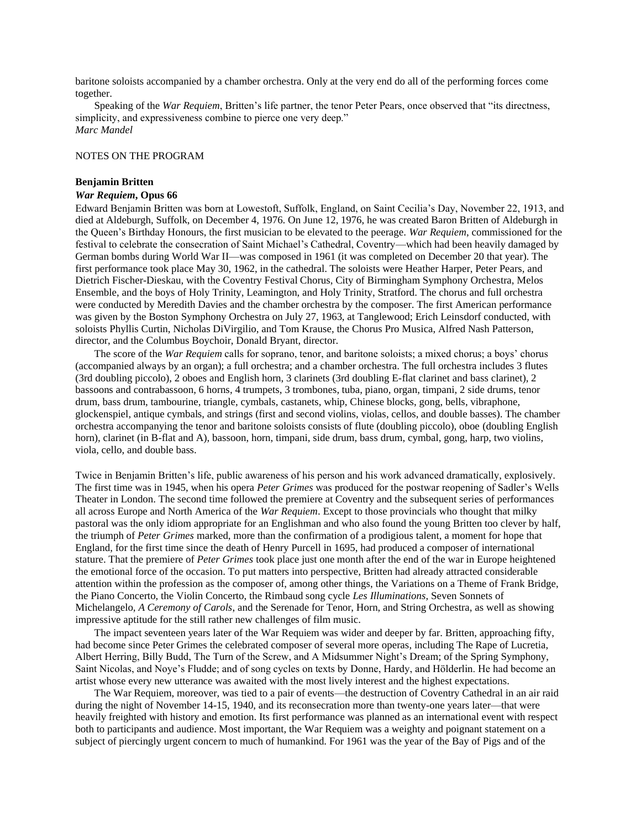baritone soloists accompanied by a chamber orchestra. Only at the very end do all of the performing forces come together.

Speaking of the *War Requiem*, Britten's life partner, the tenor Peter Pears, once observed that "its directness, simplicity, and expressiveness combine to pierce one very deep." *Marc Mandel*

# NOTES ON THE PROGRAM

#### **Benjamin Britten**

# *War Requiem***, Opus 66**

Edward Benjamin Britten was born at Lowestoft, Suffolk, England, on Saint Cecilia's Day, November 22, 1913, and died at Aldeburgh, Suffolk, on December 4, 1976. On June 12, 1976, he was created Baron Britten of Aldeburgh in the Queen's Birthday Honours, the first musician to be elevated to the peerage. *War Requiem*, commissioned for the festival to celebrate the consecration of Saint Michael's Cathedral, Coventry—which had been heavily damaged by German bombs during World War II—was composed in 1961 (it was completed on December 20 that year). The first performance took place May 30, 1962, in the cathedral. The soloists were Heather Harper, Peter Pears, and Dietrich Fischer-Dieskau, with the Coventry Festival Chorus, City of Birmingham Symphony Orchestra, Melos Ensemble, and the boys of Holy Trinity, Leamington, and Holy Trinity, Stratford. The chorus and full orchestra were conducted by Meredith Davies and the chamber orchestra by the composer. The first American performance was given by the Boston Symphony Orchestra on July 27, 1963, at Tanglewood; Erich Leinsdorf conducted, with soloists Phyllis Curtin, Nicholas DiVirgilio, and Tom Krause, the Chorus Pro Musica, Alfred Nash Patterson, director, and the Columbus Boychoir, Donald Bryant, director.

The score of the *War Requiem* calls for soprano, tenor, and baritone soloists; a mixed chorus; a boys' chorus (accompanied always by an organ); a full orchestra; and a chamber orchestra. The full orchestra includes 3 flutes (3rd doubling piccolo), 2 oboes and English horn, 3 clarinets (3rd doubling E-flat clarinet and bass clarinet), 2 bassoons and contrabassoon, 6 horns, 4 trumpets, 3 trombones, tuba, piano, organ, timpani, 2 side drums, tenor drum, bass drum, tambourine, triangle, cymbals, castanets, whip, Chinese blocks, gong, bells, vibraphone, glockenspiel, antique cymbals, and strings (first and second violins, violas, cellos, and double basses). The chamber orchestra accompanying the tenor and baritone soloists consists of flute (doubling piccolo), oboe (doubling English horn), clarinet (in B-flat and A), bassoon, horn, timpani, side drum, bass drum, cymbal, gong, harp, two violins, viola, cello, and double bass.

Twice in Benjamin Britten's life, public awareness of his person and his work advanced dramatically, explosively. The first time was in 1945, when his opera *Peter Grimes* was produced for the postwar reopening of Sadler's Wells Theater in London. The second time followed the premiere at Coventry and the subsequent series of performances all across Europe and North America of the *War Requiem*. Except to those provincials who thought that milky pastoral was the only idiom appropriate for an Englishman and who also found the young Britten too clever by half, the triumph of *Peter Grimes* marked, more than the confirmation of a prodigious talent, a moment for hope that England, for the first time since the death of Henry Purcell in 1695, had produced a composer of international stature. That the premiere of *Peter Grimes* took place just one month after the end of the war in Europe heightened the emotional force of the occasion. To put matters into perspective, Britten had already attracted considerable attention within the profession as the composer of, among other things, the Variations on a Theme of Frank Bridge, the Piano Concerto, the Violin Concerto, the Rimbaud song cycle *Les Illuminations*, Seven Sonnets of Michelangelo, *A Ceremony of Carols*, and the Serenade for Tenor, Horn, and String Orchestra, as well as showing impressive aptitude for the still rather new challenges of film music.

The impact seventeen years later of the War Requiem was wider and deeper by far. Britten, approaching fifty, had become since Peter Grimes the celebrated composer of several more operas, including The Rape of Lucretia, Albert Herring, Billy Budd, The Turn of the Screw, and A Midsummer Night's Dream; of the Spring Symphony, Saint Nicolas, and Noye's Fludde; and of song cycles on texts by Donne, Hardy, and Hölderlin. He had become an artist whose every new utterance was awaited with the most lively interest and the highest expectations.

The War Requiem, moreover, was tied to a pair of events—the destruction of Coventry Cathedral in an air raid during the night of November 14-15, 1940, and its reconsecration more than twenty-one years later—that were heavily freighted with history and emotion. Its first performance was planned as an international event with respect both to participants and audience. Most important, the War Requiem was a weighty and poignant statement on a subject of piercingly urgent concern to much of humankind. For 1961 was the year of the Bay of Pigs and of the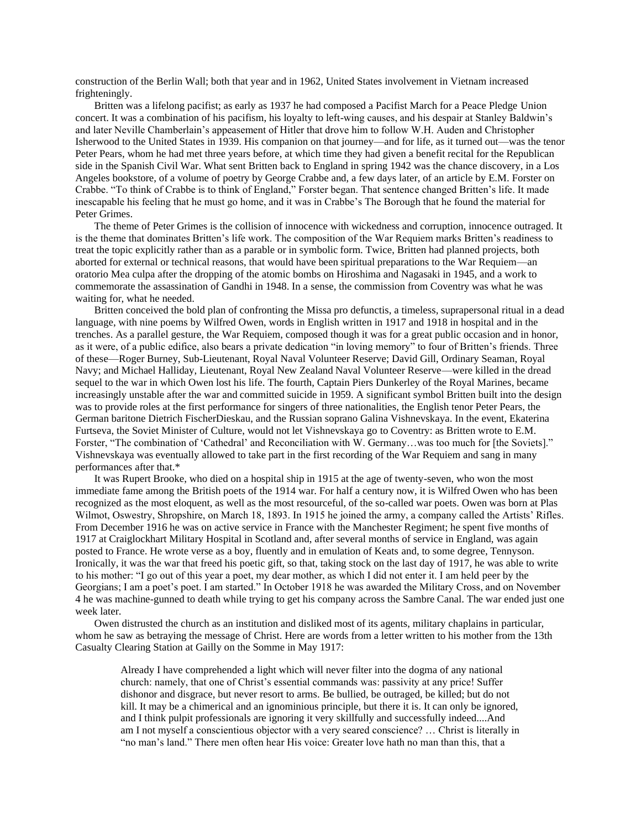construction of the Berlin Wall; both that year and in 1962, United States involvement in Vietnam increased frighteningly.

Britten was a lifelong pacifist; as early as 1937 he had composed a Pacifist March for a Peace Pledge Union concert. It was a combination of his pacifism, his loyalty to left-wing causes, and his despair at Stanley Baldwin's and later Neville Chamberlain's appeasement of Hitler that drove him to follow W.H. Auden and Christopher Isherwood to the United States in 1939. His companion on that journey—and for life, as it turned out—was the tenor Peter Pears, whom he had met three years before, at which time they had given a benefit recital for the Republican side in the Spanish Civil War. What sent Britten back to England in spring 1942 was the chance discovery, in a Los Angeles bookstore, of a volume of poetry by George Crabbe and, a few days later, of an article by E.M. Forster on Crabbe. "To think of Crabbe is to think of England," Forster began. That sentence changed Britten's life. It made inescapable his feeling that he must go home, and it was in Crabbe's The Borough that he found the material for Peter Grimes.

The theme of Peter Grimes is the collision of innocence with wickedness and corruption, innocence outraged. It is the theme that dominates Britten's life work. The composition of the War Requiem marks Britten's readiness to treat the topic explicitly rather than as a parable or in symbolic form. Twice, Britten had planned projects, both aborted for external or technical reasons, that would have been spiritual preparations to the War Requiem—an oratorio Mea culpa after the dropping of the atomic bombs on Hiroshima and Nagasaki in 1945, and a work to commemorate the assassination of Gandhi in 1948. In a sense, the commission from Coventry was what he was waiting for, what he needed.

Britten conceived the bold plan of confronting the Missa pro defunctis, a timeless, suprapersonal ritual in a dead language, with nine poems by Wilfred Owen, words in English written in 1917 and 1918 in hospital and in the trenches. As a parallel gesture, the War Requiem, composed though it was for a great public occasion and in honor, as it were, of a public edifice, also bears a private dedication "in loving memory" to four of Britten's friends. Three of these—Roger Burney, Sub-Lieutenant, Royal Naval Volunteer Reserve; David Gill, Ordinary Seaman, Royal Navy; and Michael Halliday, Lieutenant, Royal New Zealand Naval Volunteer Reserve—were killed in the dread sequel to the war in which Owen lost his life. The fourth, Captain Piers Dunkerley of the Royal Marines, became increasingly unstable after the war and committed suicide in 1959. A significant symbol Britten built into the design was to provide roles at the first performance for singers of three nationalities, the English tenor Peter Pears, the German baritone Dietrich FischerDieskau, and the Russian soprano Galina Vishnevskaya. In the event, Ekaterina Furtseva, the Soviet Minister of Culture, would not let Vishnevskaya go to Coventry: as Britten wrote to E.M. Forster, "The combination of 'Cathedral' and Reconciliation with W. Germany…was too much for [the Soviets]." Vishnevskaya was eventually allowed to take part in the first recording of the War Requiem and sang in many performances after that.\*

It was Rupert Brooke, who died on a hospital ship in 1915 at the age of twenty-seven, who won the most immediate fame among the British poets of the 1914 war. For half a century now, it is Wilfred Owen who has been recognized as the most eloquent, as well as the most resourceful, of the so-called war poets. Owen was born at Plas Wilmot, Oswestry, Shropshire, on March 18, 1893. In 1915 he joined the army, a company called the Artists' Rifles. From December 1916 he was on active service in France with the Manchester Regiment; he spent five months of 1917 at Craiglockhart Military Hospital in Scotland and, after several months of service in England, was again posted to France. He wrote verse as a boy, fluently and in emulation of Keats and, to some degree, Tennyson. Ironically, it was the war that freed his poetic gift, so that, taking stock on the last day of 1917, he was able to write to his mother: "I go out of this year a poet, my dear mother, as which I did not enter it. I am held peer by the Georgians; I am a poet's poet. I am started." In October 1918 he was awarded the Military Cross, and on November 4 he was machine-gunned to death while trying to get his company across the Sambre Canal. The war ended just one week later.

Owen distrusted the church as an institution and disliked most of its agents, military chaplains in particular, whom he saw as betraying the message of Christ. Here are words from a letter written to his mother from the 13th Casualty Clearing Station at Gailly on the Somme in May 1917:

Already I have comprehended a light which will never filter into the dogma of any national church: namely, that one of Christ's essential commands was: passivity at any price! Suffer dishonor and disgrace, but never resort to arms. Be bullied, be outraged, be killed; but do not kill. It may be a chimerical and an ignominious principle, but there it is. It can only be ignored, and I think pulpit professionals are ignoring it very skillfully and successfully indeed....And am I not myself a conscientious objector with a very seared conscience? … Christ is literally in "no man's land." There men often hear His voice: Greater love hath no man than this, that a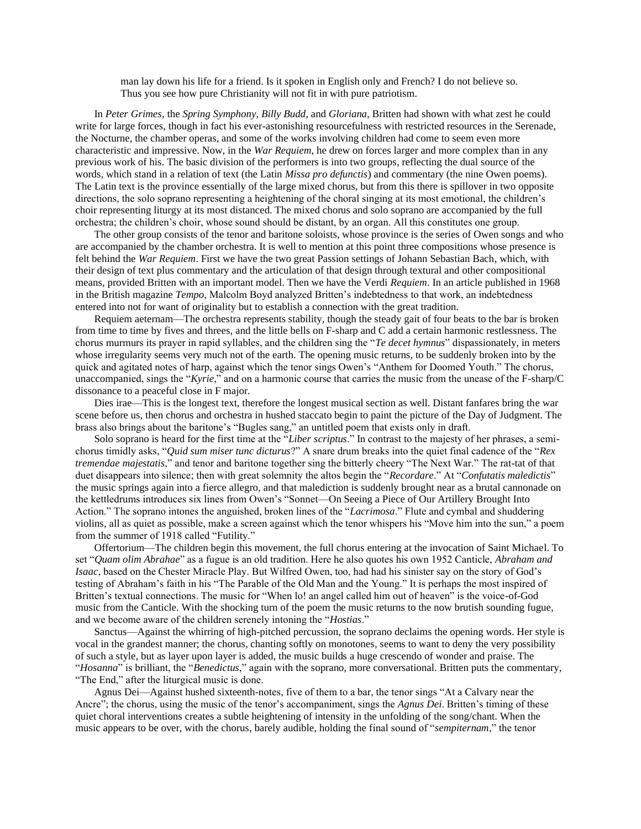man lay down his life for a friend. Is it spoken in English only and French? I do not believe so. Thus you see how pure Christianity will not fit in with pure patriotism.

In *Peter Grimes*, the *Spring Symphony*, *Billy Budd*, and *Gloriana*, Britten had shown with what zest he could write for large forces, though in fact his ever-astonishing resourcefulness with restricted resources in the Serenade, the Nocturne, the chamber operas, and some of the works involving children had come to seem even more characteristic and impressive. Now, in the *War Requiem*, he drew on forces larger and more complex than in any previous work of his. The basic division of the performers is into two groups, reflecting the dual source of the words, which stand in a relation of text (the Latin *Missa pro defunctis*) and commentary (the nine Owen poems). The Latin text is the province essentially of the large mixed chorus, but from this there is spillover in two opposite directions, the solo soprano representing a heightening of the choral singing at its most emotional, the children's choir representing liturgy at its most distanced. The mixed chorus and solo soprano are accompanied by the full orchestra; the children's choir, whose sound should be distant, by an organ. All this constitutes one group.

The other group consists of the tenor and baritone soloists, whose province is the series of Owen songs and who are accompanied by the chamber orchestra. It is well to mention at this point three compositions whose presence is felt behind the *War Requiem*. First we have the two great Passion settings of Johann Sebastian Bach, which, with their design of text plus commentary and the articulation of that design through textural and other compositional means, provided Britten with an important model. Then we have the Verdi *Requiem*. In an article published in 1968 in the British magazine *Tempo*, Malcolm Boyd analyzed Britten's indebtedness to that work, an indebtedness entered into not for want of originality but to establish a connection with the great tradition.

Requiem aeternam—The orchestra represents stability, though the steady gait of four beats to the bar is broken from time to time by fives and threes, and the little bells on F-sharp and C add a certain harmonic restlessness. The chorus murmurs its prayer in rapid syllables, and the children sing the "*Te decet hymnus*" dispassionately, in meters whose irregularity seems very much not of the earth. The opening music returns, to be suddenly broken into by the quick and agitated notes of harp, against which the tenor sings Owen's "Anthem for Doomed Youth." The chorus, unaccompanied, sings the "*Kyrie*," and on a harmonic course that carries the music from the unease of the F-sharp/C dissonance to a peaceful close in F major.

Dies irae—This is the longest text, therefore the longest musical section as well. Distant fanfares bring the war scene before us, then chorus and orchestra in hushed staccato begin to paint the picture of the Day of Judgment. The brass also brings about the baritone's "Bugles sang," an untitled poem that exists only in draft.

Solo soprano is heard for the first time at the "*Liber scriptus*." In contrast to the majesty of her phrases, a semichorus timidly asks, "*Quid sum miser tunc dicturus*?" A snare drum breaks into the quiet final cadence of the "*Rex tremendae majestatis*," and tenor and baritone together sing the bitterly cheery "The Next War." The rat-tat of that duet disappears into silence; then with great solemnity the altos begin the "*Recordare*." At "*Confutatis maledictis*" the music springs again into a fierce allegro, and that malediction is suddenly brought near as a brutal cannonade on the kettledrums introduces six lines from Owen's "Sonnet—On Seeing a Piece of Our Artillery Brought Into Action." The soprano intones the anguished, broken lines of the "*Lacrimosa*." Flute and cymbal and shuddering violins, all as quiet as possible, make a screen against which the tenor whispers his "Move him into the sun," a poem from the summer of 1918 called "Futility."

Offertorium—The children begin this movement, the full chorus entering at the invocation of Saint Michael. To set "*Quam olim Abrahae*" as a fugue is an old tradition. Here he also quotes his own 1952 Canticle, *Abraham and Isaac*, based on the Chester Miracle Play. But Wilfred Owen, too, had had his sinister say on the story of God's testing of Abraham's faith in his "The Parable of the Old Man and the Young." It is perhaps the most inspired of Britten's textual connections. The music for "When lo! an angel called him out of heaven" is the voice-of-God music from the Canticle. With the shocking turn of the poem the music returns to the now brutish sounding fugue, and we become aware of the children serenely intoning the "*Hostias*."

Sanctus—Against the whirring of high-pitched percussion, the soprano declaims the opening words. Her style is vocal in the grandest manner; the chorus, chanting softly on monotones, seems to want to deny the very possibility of such a style, but as layer upon layer is added, the music builds a huge crescendo of wonder and praise. The "*Hosanna*" is brilliant, the "*Benedictus*," again with the soprano, more conversational. Britten puts the commentary, "The End," after the liturgical music is done.

Agnus Dei—Against hushed sixteenth-notes, five of them to a bar, the tenor sings "At a Calvary near the Ancre"; the chorus, using the music of the tenor's accompaniment, sings the *Agnus Dei*. Britten's timing of these quiet choral interventions creates a subtle heightening of intensity in the unfolding of the song/chant. When the music appears to be over, with the chorus, barely audible, holding the final sound of "*sempiternam*," the tenor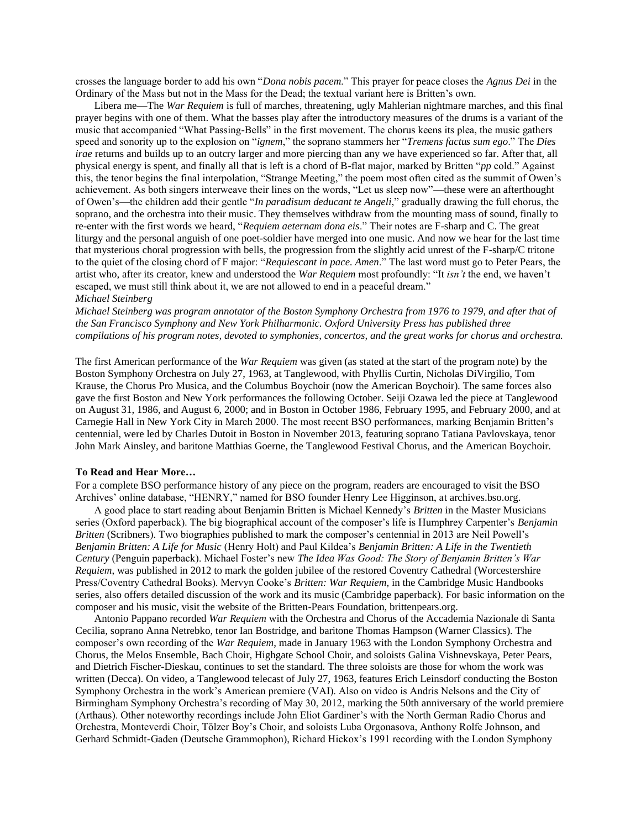crosses the language border to add his own "*Dona nobis pacem*." This prayer for peace closes the *Agnus Dei* in the Ordinary of the Mass but not in the Mass for the Dead; the textual variant here is Britten's own.

Libera me—The *War Requiem* is full of marches, threatening, ugly Mahlerian nightmare marches, and this final prayer begins with one of them. What the basses play after the introductory measures of the drums is a variant of the music that accompanied "What Passing-Bells" in the first movement. The chorus keens its plea, the music gathers speed and sonority up to the explosion on "*ignem*," the soprano stammers her "*Tremens factus sum ego*." The *Dies irae* returns and builds up to an outcry larger and more piercing than any we have experienced so far. After that, all physical energy is spent, and finally all that is left is a chord of B-flat major, marked by Britten "*pp* cold." Against this, the tenor begins the final interpolation, "Strange Meeting," the poem most often cited as the summit of Owen's achievement. As both singers interweave their lines on the words, "Let us sleep now"—these were an afterthought of Owen's—the children add their gentle "*In paradisum deducant te Angeli*," gradually drawing the full chorus, the soprano, and the orchestra into their music. They themselves withdraw from the mounting mass of sound, finally to re-enter with the first words we heard, "*Requiem aeternam dona eis*." Their notes are F-sharp and C. The great liturgy and the personal anguish of one poet-soldier have merged into one music. And now we hear for the last time that mysterious choral progression with bells, the progression from the slightly acid unrest of the F-sharp/C tritone to the quiet of the closing chord of F major: "*Requiescant in pace. Amen*." The last word must go to Peter Pears, the artist who, after its creator, knew and understood the *War Requiem* most profoundly: "It *isn't* the end, we haven't escaped, we must still think about it, we are not allowed to end in a peaceful dream."

*Michael Steinberg*

*Michael Steinberg was program annotator of the Boston Symphony Orchestra from 1976 to 1979, and after that of the San Francisco Symphony and New York Philharmonic. Oxford University Press has published three compilations of his program notes, devoted to symphonies, concertos, and the great works for chorus and orchestra.*

The first American performance of the *War Requiem* was given (as stated at the start of the program note) by the Boston Symphony Orchestra on July 27, 1963, at Tanglewood, with Phyllis Curtin, Nicholas DiVirgilio, Tom Krause, the Chorus Pro Musica, and the Columbus Boychoir (now the American Boychoir). The same forces also gave the first Boston and New York performances the following October. Seiji Ozawa led the piece at Tanglewood on August 31, 1986, and August 6, 2000; and in Boston in October 1986, February 1995, and February 2000, and at Carnegie Hall in New York City in March 2000. The most recent BSO performances, marking Benjamin Britten's centennial, were led by Charles Dutoit in Boston in November 2013, featuring soprano Tatiana Pavlovskaya, tenor John Mark Ainsley, and baritone Matthias Goerne, the Tanglewood Festival Chorus, and the American Boychoir.

### **To Read and Hear More…**

For a complete BSO performance history of any piece on the program, readers are encouraged to visit the BSO Archives' online database, "HENRY," named for BSO founder Henry Lee Higginson, at archives.bso.org.

A good place to start reading about Benjamin Britten is Michael Kennedy's *Britten* in the Master Musicians series (Oxford paperback). The big biographical account of the composer's life is Humphrey Carpenter's *Benjamin Britten* (Scribners). Two biographies published to mark the composer's centennial in 2013 are Neil Powell's *Benjamin Britten: A Life for Music* (Henry Holt) and Paul Kildea's *Benjamin Britten: A Life in the Twentieth Century* (Penguin paperback). Michael Foster's new *The Idea Was Good: The Story of Benjamin Britten's War Requiem*, was published in 2012 to mark the golden jubilee of the restored Coventry Cathedral (Worcestershire Press/Coventry Cathedral Books). Mervyn Cooke's *Britten: War Requiem*, in the Cambridge Music Handbooks series, also offers detailed discussion of the work and its music (Cambridge paperback). For basic information on the composer and his music, visit the website of the Britten-Pears Foundation, brittenpears.org.

Antonio Pappano recorded *War Requiem* with the Orchestra and Chorus of the Accademia Nazionale di Santa Cecilia, soprano Anna Netrebko, tenor Ian Bostridge, and baritone Thomas Hampson (Warner Classics). The composer's own recording of the *War Requiem*, made in January 1963 with the London Symphony Orchestra and Chorus, the Melos Ensemble, Bach Choir, Highgate School Choir, and soloists Galina Vishnevskaya, Peter Pears, and Dietrich Fischer-Dieskau, continues to set the standard. The three soloists are those for whom the work was written (Decca). On video, a Tanglewood telecast of July 27, 1963, features Erich Leinsdorf conducting the Boston Symphony Orchestra in the work's American premiere (VAI). Also on video is Andris Nelsons and the City of Birmingham Symphony Orchestra's recording of May 30, 2012, marking the 50th anniversary of the world premiere (Arthaus). Other noteworthy recordings include John Eliot Gardiner's with the North German Radio Chorus and Orchestra, Monteverdi Choir, Tölzer Boy's Choir, and soloists Luba Orgonasova, Anthony Rolfe Johnson, and Gerhard Schmidt-Gaden (Deutsche Grammophon), Richard Hickox's 1991 recording with the London Symphony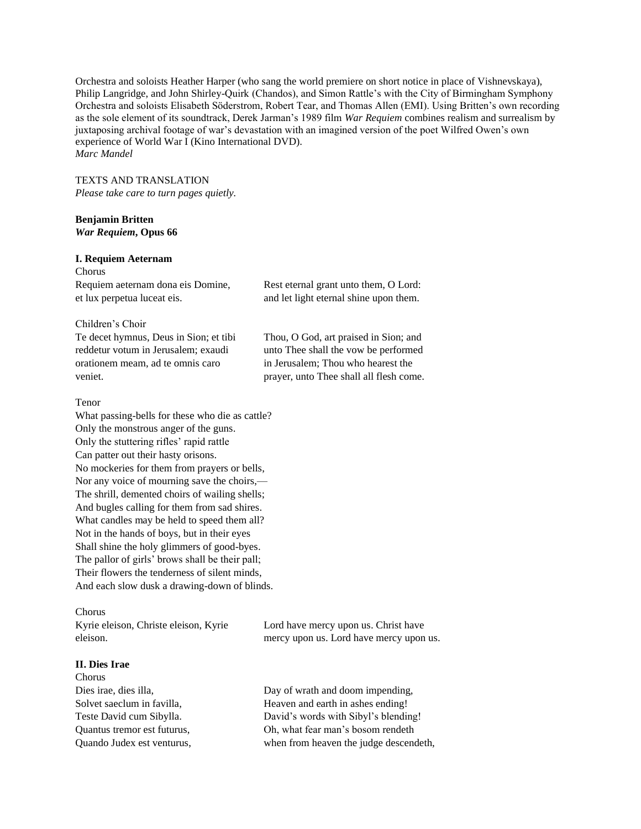Orchestra and soloists Heather Harper (who sang the world premiere on short notice in place of Vishnevskaya), Philip Langridge, and John Shirley-Quirk (Chandos), and Simon Rattle's with the City of Birmingham Symphony Orchestra and soloists Elisabeth Söderstrom, Robert Tear, and Thomas Allen (EMI). Using Britten's own recording as the sole element of its soundtrack, Derek Jarman's 1989 film *War Requiem* combines realism and surrealism by juxtaposing archival footage of war's devastation with an imagined version of the poet Wilfred Owen's own experience of World War I (Kino International DVD). *Marc Mandel*

# TEXTS AND TRANSLATION *Please take care to turn pages quietly.*

# **Benjamin Britten** *War Requiem***, Opus 66**

# **I. Requiem Aeternam**

Chorus Requiem aeternam dona eis Domine, Rest eternal grant unto them, O Lord: et lux perpetua luceat eis. and let light eternal shine upon them.

Children's Choir

Te decet hymnus, Deus in Sion; et tibi Thou, O God, art praised in Sion; and reddetur votum in Jerusalem; exaudi unto Thee shall the vow be performed orationem meam, ad te omnis caro in Jerusalem; Thou who hearest the veniet. prayer, unto Thee shall all flesh come.

# Tenor

What passing-bells for these who die as cattle? Only the monstrous anger of the guns. Only the stuttering rifles' rapid rattle Can patter out their hasty orisons. No mockeries for them from prayers or bells, Nor any voice of mourning save the choirs,— The shrill, demented choirs of wailing shells; And bugles calling for them from sad shires. What candles may be held to speed them all? Not in the hands of boys, but in their eyes Shall shine the holy glimmers of good-byes. The pallor of girls' brows shall be their pall; Their flowers the tenderness of silent minds, And each slow dusk a drawing-down of blinds.

### Chorus

# **II. Dies Irae**

Chorus

Kyrie eleison, Christe eleison, Kyrie Lord have mercy upon us. Christ have eleison. mercy upon us. Lord have mercy upon us.

Dies irae, dies illa, Day of wrath and doom impending, Solvet saeclum in favilla, Heaven and earth in ashes ending! Teste David cum Sibylla. David's words with Sibyl's blending! Quantus tremor est futurus, Oh, what fear man's bosom rendeth Quando Judex est venturus, when from heaven the judge descendeth,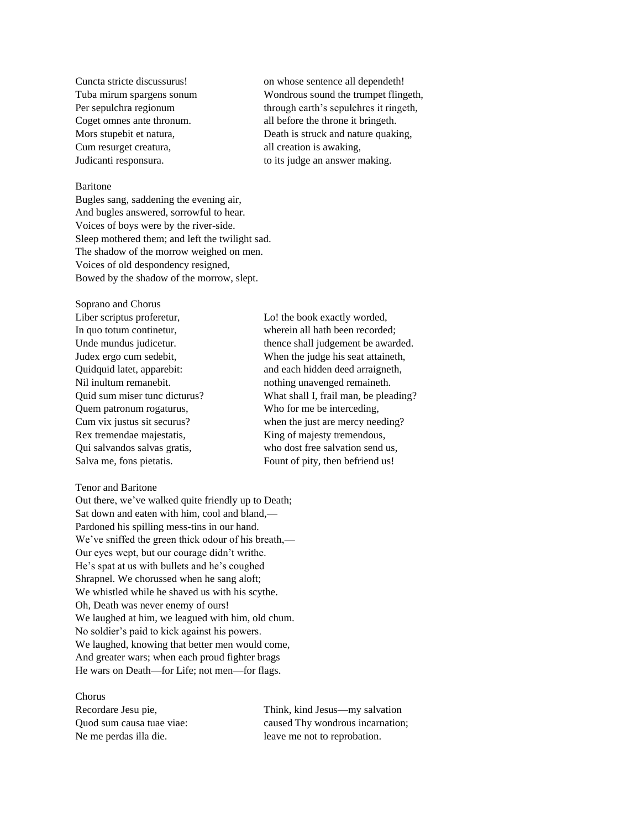Cum resurget creatura, all creation is awaking,

Cuncta stricte discussurus! on whose sentence all dependeth! Tuba mirum spargens sonum Wondrous sound the trumpet flingeth, Per sepulchra regionum through earth's sepulchres it ringeth, Coget omnes ante thronum. all before the throne it bringeth. Mors stupebit et natura, Death is struck and nature quaking, Judicanti responsura. to its judge an answer making.

# Baritone

Bugles sang, saddening the evening air, And bugles answered, sorrowful to hear. Voices of boys were by the river-side. Sleep mothered them; and left the twilight sad. The shadow of the morrow weighed on men. Voices of old despondency resigned, Bowed by the shadow of the morrow, slept.

### Soprano and Chorus

Liber scriptus proferetur, Lo! the book exactly worded, In quo totum continetur, wherein all hath been recorded; Nil inultum remanebit. nothing unavenged remaineth. Quem patronum rogaturus, Who for me be interceding, Rex tremendae majestatis, King of majesty tremendous, Salva me, fons pietatis. Fount of pity, then befriend us!

## Tenor and Baritone

Out there, we've walked quite friendly up to Death; Sat down and eaten with him, cool and bland,— Pardoned his spilling mess-tins in our hand. We've sniffed the green thick odour of his breath,— Our eyes wept, but our courage didn't writhe. He's spat at us with bullets and he's coughed Shrapnel. We chorussed when he sang aloft; We whistled while he shaved us with his scythe. Oh, Death was never enemy of ours! We laughed at him, we leagued with him, old chum. No soldier's paid to kick against his powers. We laughed, knowing that better men would come, And greater wars; when each proud fighter brags He wars on Death—for Life; not men—for flags.

## Chorus

Recordare Jesu pie, Think, kind Jesus—my salvation Quod sum causa tuae viae: caused Thy wondrous incarnation; Ne me perdas illa die. leave me not to reprobation.

Unde mundus judicetur. thence shall judgement be awarded. Judex ergo cum sedebit, When the judge his seat attaineth, Quidquid latet, apparebit: and each hidden deed arraigneth, Quid sum miser tunc dicturus? What shall I, frail man, be pleading? Cum vix justus sit securus? when the just are mercy needing? Qui salvandos salvas gratis, who dost free salvation send us,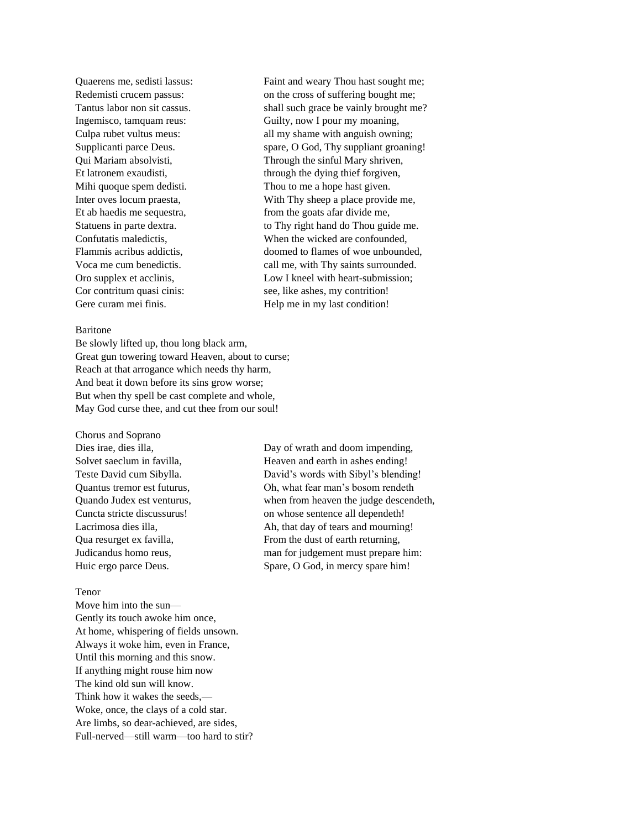Quaerens me, sedisti lassus: Faint and weary Thou hast sought me; Redemisti crucem passus: on the cross of suffering bought me; Tantus labor non sit cassus. Shall such grace be vainly brought me? Ingemisco, tamquam reus: Guilty, now I pour my moaning, Culpa rubet vultus meus: all my shame with anguish owning; Supplicanti parce Deus. spare, O God, Thy suppliant groaning! Qui Mariam absolvisti, Through the sinful Mary shriven, Et latronem exaudisti, through the dying thief forgiven, Mihi quoque spem dedisti. Thou to me a hope hast given. Inter oves locum praesta, With Thy sheep a place provide me, Et ab haedis me sequestra, from the goats afar divide me, Statuens in parte dextra. to Thy right hand do Thou guide me. Confutatis maledictis, When the wicked are confounded, Flammis acribus addictis, doomed to flames of woe unbounded, Voca me cum benedictis. call me, with Thy saints surrounded. Oro supplex et acclinis, Low I kneel with heart-submission; Cor contritum quasi cinis: see, like ashes, my contrition! Gere curam mei finis. Help me in my last condition!

## Baritone

Be slowly lifted up, thou long black arm, Great gun towering toward Heaven, about to curse; Reach at that arrogance which needs thy harm, And beat it down before its sins grow worse; But when thy spell be cast complete and whole, May God curse thee, and cut thee from our soul!

Chorus and Soprano

## Tenor

Move him into the sun— Gently its touch awoke him once, At home, whispering of fields unsown. Always it woke him, even in France, Until this morning and this snow. If anything might rouse him now The kind old sun will know. Think how it wakes the seeds,— Woke, once, the clays of a cold star. Are limbs, so dear-achieved, are sides, Full-nerved—still warm—too hard to stir?

Dies irae, dies illa, Day of wrath and doom impending, Solvet saeclum in favilla, Heaven and earth in ashes ending! Teste David cum Sibylla. David's words with Sibyl's blending! Quantus tremor est futurus, Oh, what fear man's bosom rendeth Quando Judex est venturus, when from heaven the judge descendeth, Cuncta stricte discussurus! on whose sentence all dependeth! Lacrimosa dies illa, Ah, that day of tears and mourning! Qua resurget ex favilla, From the dust of earth returning, Judicandus homo reus, man for judgement must prepare him: Huic ergo parce Deus. Spare, O God, in mercy spare him!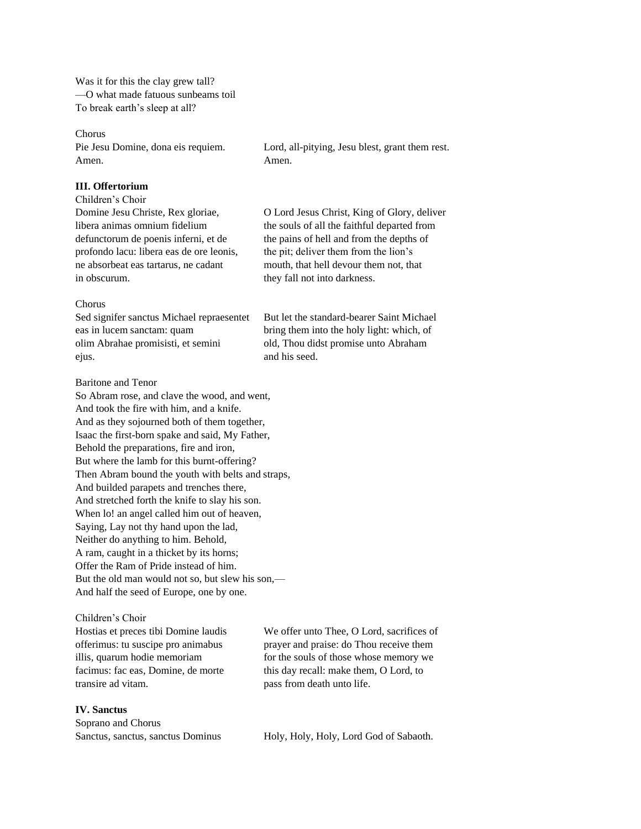Was it for this the clay grew tall? —O what made fatuous sunbeams toil To break earth's sleep at all?

#### Chorus

Amen. Amen.

# **III. Offertorium**

Children's Choir Domine Jesu Christe, Rex gloriae, O Lord Jesus Christ, King of Glory, deliver profondo lacu: libera eas de ore leonis, the pit; deliver them from the lion's in obscurum. they fall not into darkness.

## Chorus

Sed signifer sanctus Michael repraesentet But let the standard-bearer Saint Michael eas in lucem sanctam: quam bring them into the holy light: which, of olim Abrahae promisisti, et semini old, Thou didst promise unto Abraham ejus. and his seed.

## Baritone and Tenor

So Abram rose, and clave the wood, and went, And took the fire with him, and a knife. And as they sojourned both of them together, Isaac the first-born spake and said, My Father, Behold the preparations, fire and iron, But where the lamb for this burnt-offering? Then Abram bound the youth with belts and straps, And builded parapets and trenches there, And stretched forth the knife to slay his son. When lo! an angel called him out of heaven, Saying, Lay not thy hand upon the lad, Neither do anything to him. Behold, A ram, caught in a thicket by its horns; Offer the Ram of Pride instead of him. But the old man would not so, but slew his son,— And half the seed of Europe, one by one.

### Children's Choir

Hostias et preces tibi Domine laudis We offer unto Thee, O Lord, sacrifices of transire ad vitam. pass from death unto life.

### **IV. Sanctus**

Soprano and Chorus

Pie Jesu Domine, dona eis requiem. Lord, all-pitying, Jesu blest, grant them rest.

libera animas omnium fidelium the souls of all the faithful departed from defunctorum de poenis inferni, et de the pains of hell and from the depths of ne absorbeat eas tartarus, ne cadant mouth, that hell devour them not, that

offerimus: tu suscipe pro animabus prayer and praise: do Thou receive them illis, quarum hodie memoriam for the souls of those whose memory we facimus: fac eas, Domine, de morte this day recall: make them, O Lord, to

Sanctus, sanctus, sanctus Dominus Holy, Holy, Holy, Lord God of Sabaoth.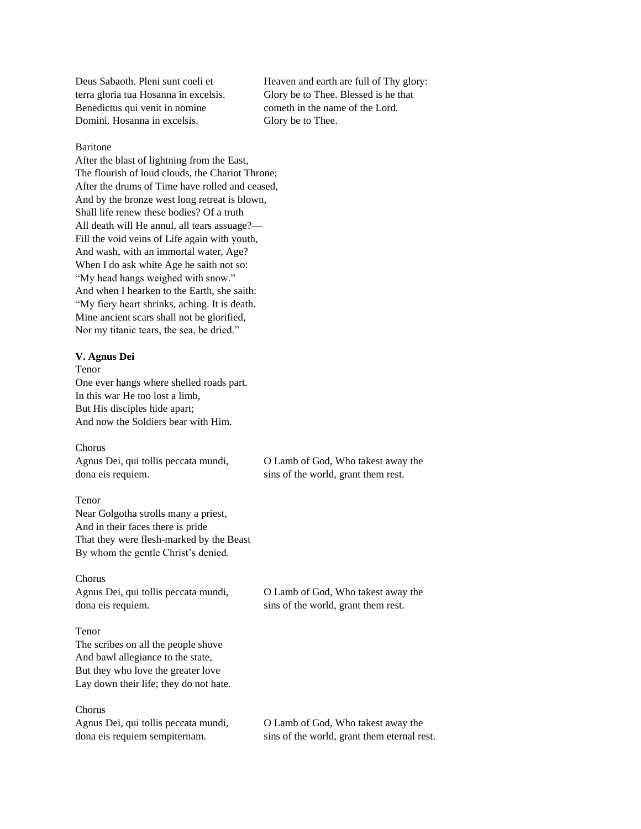Deus Sabaoth. Pleni sunt coeli et Heaven and earth are full of Thy glory: terra gloria tua Hosanna in excelsis. Glory be to Thee. Blessed is he that Benedictus qui venit in nomine cometh in the name of the Lord. Domini. Hosanna in excelsis. Glory be to Thee.

### Baritone

After the blast of lightning from the East, The flourish of loud clouds, the Chariot Throne; After the drums of Time have rolled and ceased, And by the bronze west long retreat is blown, Shall life renew these bodies? Of a truth All death will He annul, all tears assuage?— Fill the void veins of Life again with youth, And wash, with an immortal water, Age? When I do ask white Age he saith not so: "My head hangs weighed with snow." And when I hearken to the Earth, she saith: "My fiery heart shrinks, aching. It is death. Mine ancient scars shall not be glorified, Nor my titanic tears, the sea, be dried."

## **V. Agnus Dei**

Tenor One ever hangs where shelled roads part. In this war He too lost a limb, But His disciples hide apart; And now the Soldiers bear with Him.

# Chorus

dona eis requiem. sins of the world, grant them rest.

# Tenor

Near Golgotha strolls many a priest, And in their faces there is pride That they were flesh-marked by the Beast By whom the gentle Christ's denied.

## Chorus

dona eis requiem. sins of the world, grant them rest.

## Tenor

The scribes on all the people shove And bawl allegiance to the state, But they who love the greater love Lay down their life; they do not hate.

### Chorus

Agnus Dei, qui tollis peccata mundi, O Lamb of God, Who takest away the

Agnus Dei, qui tollis peccata mundi, O Lamb of God, Who takest away the

Agnus Dei, qui tollis peccata mundi, O Lamb of God, Who takest away the

dona eis requiem sempiternam. sins of the world, grant them eternal rest.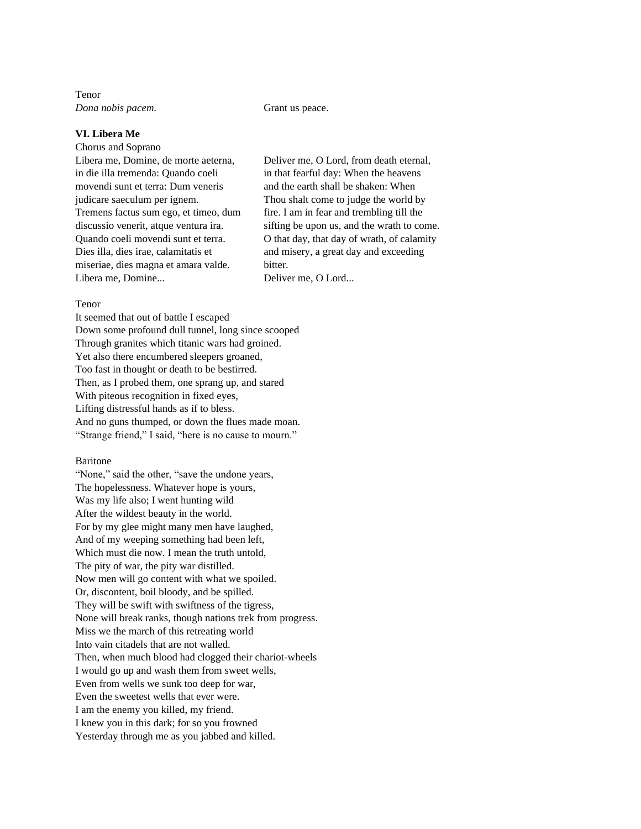Tenor *Dona nobis pacem.* Grant us peace.

# **VI. Libera Me**

Chorus and Soprano

in die illa tremenda: Quando coeli in that fearful day: When the heavens movendi sunt et terra: Dum veneris and the earth shall be shaken: When judicare saeculum per ignem. Thou shalt come to judge the world by Tremens factus sum ego, et timeo, dum fire. I am in fear and trembling till the Dies illa, dies irae, calamitatis et and misery, a great day and exceeding miseriae, dies magna et amara valde. bitter. Libera me, Domine... Deliver me, O Lord...

## Tenor

It seemed that out of battle I escaped Down some profound dull tunnel, long since scooped Through granites which titanic wars had groined. Yet also there encumbered sleepers groaned, Too fast in thought or death to be bestirred. Then, as I probed them, one sprang up, and stared With piteous recognition in fixed eyes, Lifting distressful hands as if to bless. And no guns thumped, or down the flues made moan. "Strange friend," I said, "here is no cause to mourn."

#### Baritone

"None," said the other, "save the undone years, The hopelessness. Whatever hope is yours, Was my life also; I went hunting wild After the wildest beauty in the world. For by my glee might many men have laughed, And of my weeping something had been left, Which must die now. I mean the truth untold, The pity of war, the pity war distilled. Now men will go content with what we spoiled. Or, discontent, boil bloody, and be spilled. They will be swift with swiftness of the tigress, None will break ranks, though nations trek from progress. Miss we the march of this retreating world Into vain citadels that are not walled. Then, when much blood had clogged their chariot-wheels I would go up and wash them from sweet wells, Even from wells we sunk too deep for war, Even the sweetest wells that ever were. I am the enemy you killed, my friend. I knew you in this dark; for so you frowned Yesterday through me as you jabbed and killed.

Libera me, Domine, de morte aeterna, Deliver me, O Lord, from death eternal, discussio venerit, atque ventura ira. sifting be upon us, and the wrath to come. Quando coeli movendi sunt et terra. O that day, that day of wrath, of calamity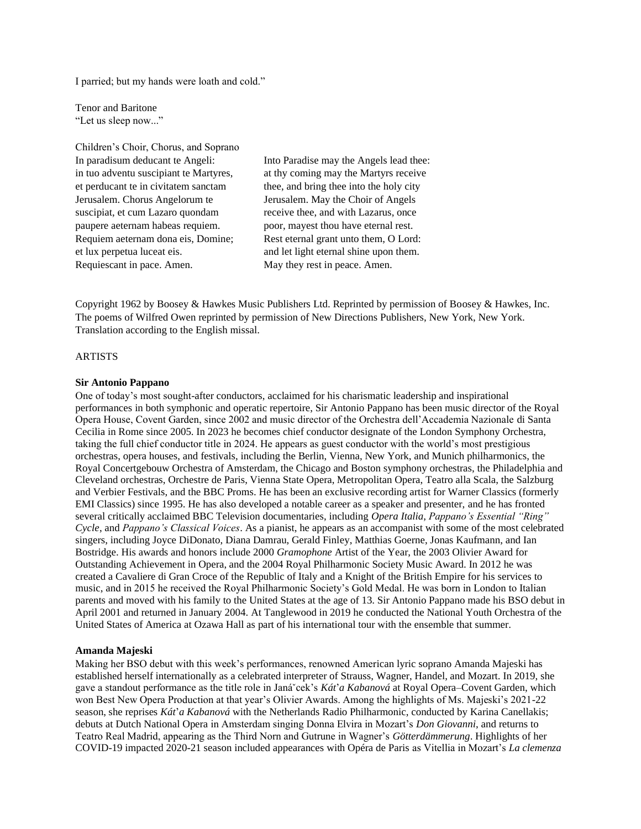I parried; but my hands were loath and cold."

Tenor and Baritone "Let us sleep now..."

Children's Choir, Chorus, and Soprano In paradisum deducant te Angeli: Into Paradise may the Angels lead thee: in tuo adventu suscipiant te Martyres, at thy coming may the Martyrs receive et perducant te in civitatem sanctam thee, and bring thee into the holy city Jerusalem. Chorus Angelorum te Jerusalem. May the Choir of Angels suscipiat, et cum Lazaro quondam receive thee, and with Lazarus, once paupere aeternam habeas requiem. poor, mayest thou have eternal rest. Requiem aeternam dona eis, Domine; Rest eternal grant unto them, O Lord: et lux perpetua luceat eis. and let light eternal shine upon them. Requiescant in pace. Amen. May they rest in peace. Amen.

Copyright 1962 by Boosey & Hawkes Music Publishers Ltd. Reprinted by permission of Boosey & Hawkes, Inc. The poems of Wilfred Owen reprinted by permission of New Directions Publishers, New York, New York. Translation according to the English missal.

## ARTISTS

## **Sir Antonio Pappano**

One of today's most sought-after conductors, acclaimed for his charismatic leadership and inspirational performances in both symphonic and operatic repertoire, Sir Antonio Pappano has been music director of the Royal Opera House, Covent Garden, since 2002 and music director of the Orchestra dell'Accademia Nazionale di Santa Cecilia in Rome since 2005. In 2023 he becomes chief conductor designate of the London Symphony Orchestra, taking the full chief conductor title in 2024. He appears as guest conductor with the world's most prestigious orchestras, opera houses, and festivals, including the Berlin, Vienna, New York, and Munich philharmonics, the Royal Concertgebouw Orchestra of Amsterdam, the Chicago and Boston symphony orchestras, the Philadelphia and Cleveland orchestras, Orchestre de Paris, Vienna State Opera, Metropolitan Opera, Teatro alla Scala, the Salzburg and Verbier Festivals, and the BBC Proms. He has been an exclusive recording artist for Warner Classics (formerly EMI Classics) since 1995. He has also developed a notable career as a speaker and presenter, and he has fronted several critically acclaimed BBC Television documentaries, including *Opera Italia*, *Pappano's Essential "Ring" Cycle*, and *Pappano's Classical Voices*. As a pianist, he appears as an accompanist with some of the most celebrated singers, including Joyce DiDonato, Diana Damrau, Gerald Finley, Matthias Goerne, Jonas Kaufmann, and Ian Bostridge. His awards and honors include 2000 *Gramophone* Artist of the Year, the 2003 Olivier Award for Outstanding Achievement in Opera, and the 2004 Royal Philharmonic Society Music Award. In 2012 he was created a Cavaliere di Gran Croce of the Republic of Italy and a Knight of the British Empire for his services to music, and in 2015 he received the Royal Philharmonic Society's Gold Medal. He was born in London to Italian parents and moved with his family to the United States at the age of 13. Sir Antonio Pappano made his BSO debut in April 2001 and returned in January 2004. At Tanglewood in 2019 he conducted the National Youth Orchestra of the United States of America at Ozawa Hall as part of his international tour with the ensemble that summer.

# **Amanda Majeski**

Making her BSO debut with this week's performances, renowned American lyric soprano Amanda Majeski has established herself internationally as a celebrated interpreter of Strauss, Wagner, Handel, and Mozart. In 2019, she gave a standout performance as the title role in Janáˇcek's *Kát*'*a Kabanová* at Royal Opera–Covent Garden, which won Best New Opera Production at that year's Olivier Awards. Among the highlights of Ms. Majeski's 2021-22 season, she reprises *Kát*'*a Kabanová* with the Netherlands Radio Philharmonic, conducted by Karina Canellakis; debuts at Dutch National Opera in Amsterdam singing Donna Elvira in Mozart's *Don Giovanni*, and returns to Teatro Real Madrid, appearing as the Third Norn and Gutrune in Wagner's *Götterdämmerung*. Highlights of her COVID-19 impacted 2020-21 season included appearances with Opéra de Paris as Vitellia in Mozart's *La clemenza*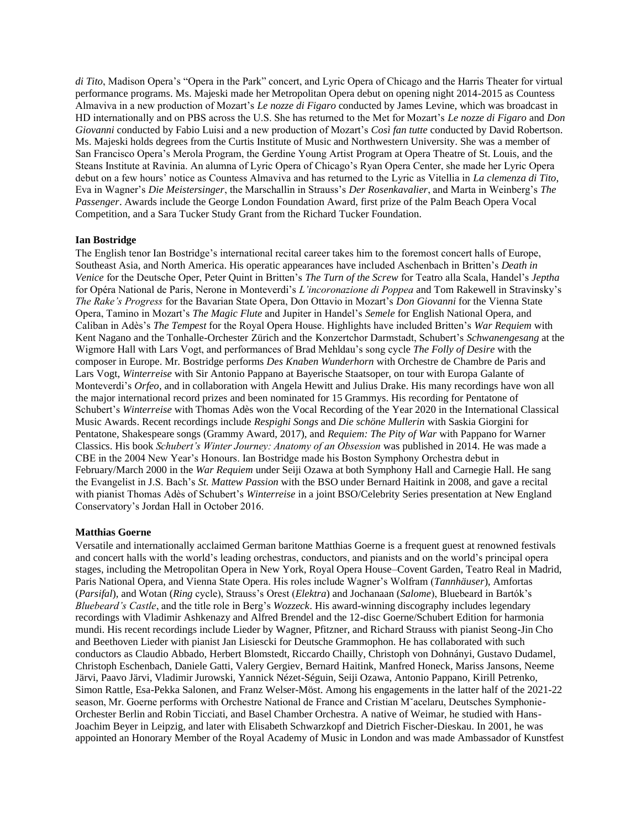*di Tito*, Madison Opera's "Opera in the Park" concert, and Lyric Opera of Chicago and the Harris Theater for virtual performance programs. Ms. Majeski made her Metropolitan Opera debut on opening night 2014-2015 as Countess Almaviva in a new production of Mozart's *Le nozze di Figaro* conducted by James Levine, which was broadcast in HD internationally and on PBS across the U.S. She has returned to the Met for Mozart's *Le nozze di Figaro* and *Don Giovanni* conducted by Fabio Luisi and a new production of Mozart's *Così fan tutte* conducted by David Robertson. Ms. Majeski holds degrees from the Curtis Institute of Music and Northwestern University. She was a member of San Francisco Opera's Merola Program, the Gerdine Young Artist Program at Opera Theatre of St. Louis, and the Steans Institute at Ravinia. An alumna of Lyric Opera of Chicago's Ryan Opera Center, she made her Lyric Opera debut on a few hours' notice as Countess Almaviva and has returned to the Lyric as Vitellia in *La clemenza di Tito*, Eva in Wagner's *Die Meistersinger*, the Marschallin in Strauss's *Der Rosenkavalier*, and Marta in Weinberg's *The Passenger*. Awards include the George London Foundation Award, first prize of the Palm Beach Opera Vocal Competition, and a Sara Tucker Study Grant from the Richard Tucker Foundation.

# **Ian Bostridge**

The English tenor Ian Bostridge's international recital career takes him to the foremost concert halls of Europe, Southeast Asia, and North America. His operatic appearances have included Aschenbach in Britten's *Death in Venice* for the Deutsche Oper, Peter Quint in Britten's *The Turn of the Screw* for Teatro alla Scala, Handel's *Jeptha* for Opéra National de Paris, Nerone in Monteverdi's *L'incoronazione di Poppea* and Tom Rakewell in Stravinsky's *The Rake's Progress* for the Bavarian State Opera, Don Ottavio in Mozart's *Don Giovanni* for the Vienna State Opera, Tamino in Mozart's *The Magic Flute* and Jupiter in Handel's *Semele* for English National Opera, and Caliban in Adès's *The Tempest* for the Royal Opera House. Highlights have included Britten's *War Requiem* with Kent Nagano and the Tonhalle-Orchester Zürich and the Konzertchor Darmstadt, Schubert's *Schwanengesang* at the Wigmore Hall with Lars Vogt, and performances of Brad Mehldau's song cycle *The Folly of Desire* with the composer in Europe. Mr. Bostridge performs *Des Knaben Wunderhorn* with Orchestre de Chambre de Paris and Lars Vogt, *Winterreise* with Sir Antonio Pappano at Bayerische Staatsoper, on tour with Europa Galante of Monteverdi's *Orfeo*, and in collaboration with Angela Hewitt and Julius Drake. His many recordings have won all the major international record prizes and been nominated for 15 Grammys. His recording for Pentatone of Schubert's *Winterreise* with Thomas Adès won the Vocal Recording of the Year 2020 in the International Classical Music Awards. Recent recordings include *Respighi Songs* and *Die schöne Mullerin* with Saskia Giorgini for Pentatone, Shakespeare songs (Grammy Award, 2017), and *Requiem: The Pity of War* with Pappano for Warner Classics. His book *Schubert's Winter Journey: Anatomy of an Obsession* was published in 2014. He was made a CBE in the 2004 New Year's Honours. Ian Bostridge made his Boston Symphony Orchestra debut in February/March 2000 in the *War Requiem* under Seiji Ozawa at both Symphony Hall and Carnegie Hall. He sang the Evangelist in J.S. Bach's *St. Mattew Passion* with the BSO under Bernard Haitink in 2008, and gave a recital with pianist Thomas Adès of Schubert's *Winterreise* in a joint BSO/Celebrity Series presentation at New England Conservatory's Jordan Hall in October 2016.

# **Matthias Goerne**

Versatile and internationally acclaimed German baritone Matthias Goerne is a frequent guest at renowned festivals and concert halls with the world's leading orchestras, conductors, and pianists and on the world's principal opera stages, including the Metropolitan Opera in New York, Royal Opera House–Covent Garden, Teatro Real in Madrid, Paris National Opera, and Vienna State Opera. His roles include Wagner's Wolfram (*Tannhäuser*), Amfortas (*Parsifal*), and Wotan (*Ring* cycle), Strauss's Orest (*Elektra*) and Jochanaan (*Salome*), Bluebeard in Bartók's *Bluebeard's Castle*, and the title role in Berg's *Wozzeck*. His award-winning discography includes legendary recordings with Vladimir Ashkenazy and Alfred Brendel and the 12-disc Goerne/Schubert Edition for harmonia mundi. His recent recordings include Lieder by Wagner, Pfitzner, and Richard Strauss with pianist Seong-Jin Cho and Beethoven Lieder with pianist Jan Lisiescki for Deutsche Grammophon. He has collaborated with such conductors as Claudio Abbado, Herbert Blomstedt, Riccardo Chailly, Christoph von Dohnányi, Gustavo Dudamel, Christoph Eschenbach, Daniele Gatti, Valery Gergiev, Bernard Haitink, Manfred Honeck, Mariss Jansons, Neeme Järvi, Paavo Järvi, Vladimir Jurowski, Yannick Nézet-Séguin, Seiji Ozawa, Antonio Pappano, Kirill Petrenko, Simon Rattle, Esa-Pekka Salonen, and Franz Welser-Möst. Among his engagements in the latter half of the 2021-22 season, Mr. Goerne performs with Orchestre National de France and Cristian M˘acelaru, Deutsches Symphonie-Orchester Berlin and Robin Ticciati, and Basel Chamber Orchestra. A native of Weimar, he studied with Hans-Joachim Beyer in Leipzig, and later with Elisabeth Schwarzkopf and Dietrich Fischer-Dieskau. In 2001, he was appointed an Honorary Member of the Royal Academy of Music in London and was made Ambassador of Kunstfest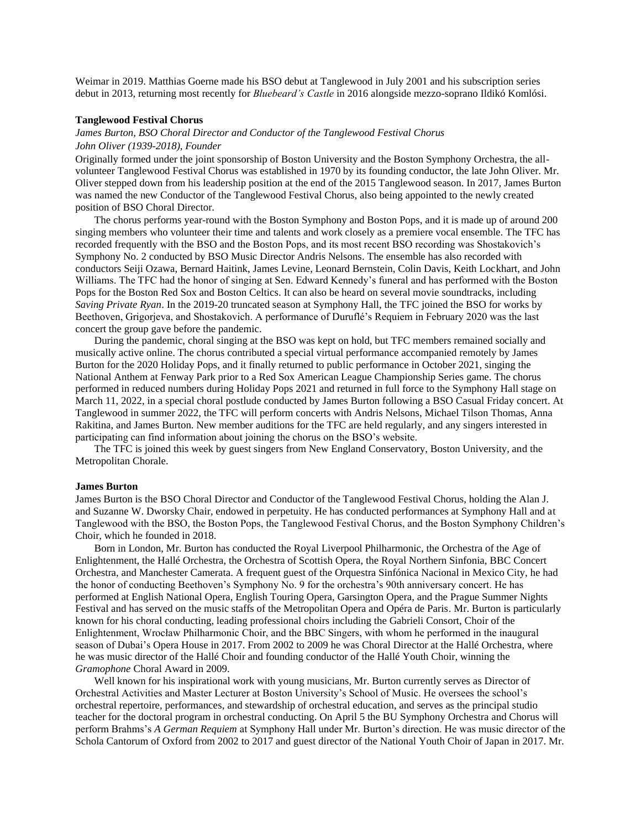Weimar in 2019. Matthias Goerne made his BSO debut at Tanglewood in July 2001 and his subscription series debut in 2013, returning most recently for *Bluebeard's Castle* in 2016 alongside mezzo-soprano Ildikó Komlósi.

# **Tanglewood Festival Chorus**

*James Burton, BSO Choral Director and Conductor of the Tanglewood Festival Chorus John Oliver (1939-2018), Founder*

Originally formed under the joint sponsorship of Boston University and the Boston Symphony Orchestra, the allvolunteer Tanglewood Festival Chorus was established in 1970 by its founding conductor, the late John Oliver. Mr. Oliver stepped down from his leadership position at the end of the 2015 Tanglewood season. In 2017, James Burton was named the new Conductor of the Tanglewood Festival Chorus, also being appointed to the newly created position of BSO Choral Director.

The chorus performs year-round with the Boston Symphony and Boston Pops, and it is made up of around 200 singing members who volunteer their time and talents and work closely as a premiere vocal ensemble. The TFC has recorded frequently with the BSO and the Boston Pops, and its most recent BSO recording was Shostakovich's Symphony No. 2 conducted by BSO Music Director Andris Nelsons. The ensemble has also recorded with conductors Seiji Ozawa, Bernard Haitink, James Levine, Leonard Bernstein, Colin Davis, Keith Lockhart, and John Williams. The TFC had the honor of singing at Sen. Edward Kennedy's funeral and has performed with the Boston Pops for the Boston Red Sox and Boston Celtics. It can also be heard on several movie soundtracks, including *Saving Private Ryan*. In the 2019-20 truncated season at Symphony Hall, the TFC joined the BSO for works by Beethoven, Grigorjeva, and Shostakovich. A performance of Duruflé's Requiem in February 2020 was the last concert the group gave before the pandemic.

During the pandemic, choral singing at the BSO was kept on hold, but TFC members remained socially and musically active online. The chorus contributed a special virtual performance accompanied remotely by James Burton for the 2020 Holiday Pops, and it finally returned to public performance in October 2021, singing the National Anthem at Fenway Park prior to a Red Sox American League Championship Series game. The chorus performed in reduced numbers during Holiday Pops 2021 and returned in full force to the Symphony Hall stage on March 11, 2022, in a special choral postlude conducted by James Burton following a BSO Casual Friday concert. At Tanglewood in summer 2022, the TFC will perform concerts with Andris Nelsons, Michael Tilson Thomas, Anna Rakitina, and James Burton. New member auditions for the TFC are held regularly, and any singers interested in participating can find information about joining the chorus on the BSO's website.

The TFC is joined this week by guest singers from New England Conservatory, Boston University, and the Metropolitan Chorale.

### **James Burton**

James Burton is the BSO Choral Director and Conductor of the Tanglewood Festival Chorus, holding the Alan J. and Suzanne W. Dworsky Chair, endowed in perpetuity. He has conducted performances at Symphony Hall and at Tanglewood with the BSO, the Boston Pops, the Tanglewood Festival Chorus, and the Boston Symphony Children's Choir, which he founded in 2018.

Born in London, Mr. Burton has conducted the Royal Liverpool Philharmonic, the Orchestra of the Age of Enlightenment, the Hallé Orchestra, the Orchestra of Scottish Opera, the Royal Northern Sinfonia, BBC Concert Orchestra, and Manchester Camerata. A frequent guest of the Orquestra Sinfónica Nacional in Mexico City, he had the honor of conducting Beethoven's Symphony No. 9 for the orchestra's 90th anniversary concert. He has performed at English National Opera, English Touring Opera, Garsington Opera, and the Prague Summer Nights Festival and has served on the music staffs of the Metropolitan Opera and Opéra de Paris. Mr. Burton is particularly known for his choral conducting, leading professional choirs including the Gabrieli Consort, Choir of the Enlightenment, Wrocław Philharmonic Choir, and the BBC Singers, with whom he performed in the inaugural season of Dubai's Opera House in 2017. From 2002 to 2009 he was Choral Director at the Hallé Orchestra, where he was music director of the Hallé Choir and founding conductor of the Hallé Youth Choir, winning the *Gramophone* Choral Award in 2009.

Well known for his inspirational work with young musicians, Mr. Burton currently serves as Director of Orchestral Activities and Master Lecturer at Boston University's School of Music. He oversees the school's orchestral repertoire, performances, and stewardship of orchestral education, and serves as the principal studio teacher for the doctoral program in orchestral conducting. On April 5 the BU Symphony Orchestra and Chorus will perform Brahms's *A German Requiem* at Symphony Hall under Mr. Burton's direction. He was music director of the Schola Cantorum of Oxford from 2002 to 2017 and guest director of the National Youth Choir of Japan in 2017. Mr.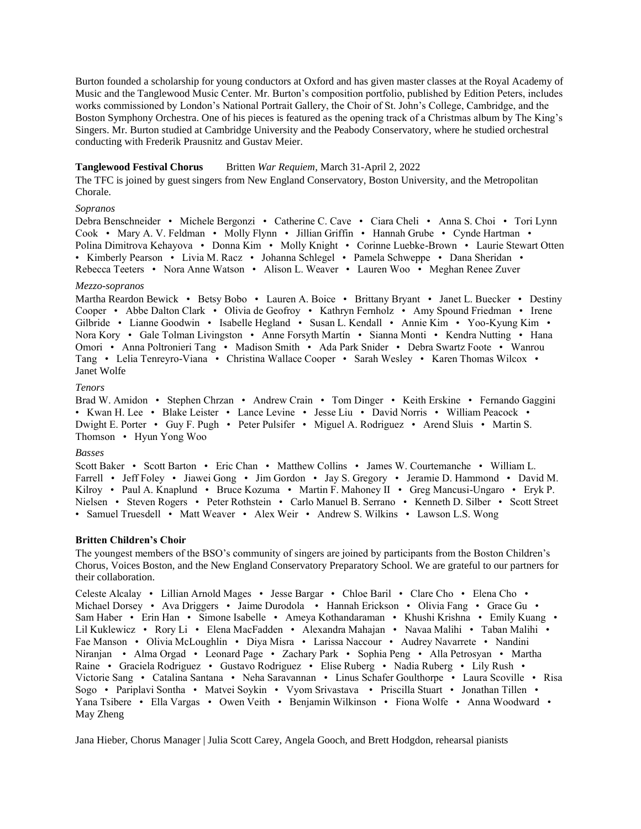Burton founded a scholarship for young conductors at Oxford and has given master classes at the Royal Academy of Music and the Tanglewood Music Center. Mr. Burton's composition portfolio, published by Edition Peters, includes works commissioned by London's National Portrait Gallery, the Choir of St. John's College, Cambridge, and the Boston Symphony Orchestra. One of his pieces is featured as the opening track of a Christmas album by The King's Singers. Mr. Burton studied at Cambridge University and the Peabody Conservatory, where he studied orchestral conducting with Frederik Prausnitz and Gustav Meier.

# **Tanglewood Festival Chorus** Britten *War Requiem*, March 31-April 2, 2022

The TFC is joined by guest singers from New England Conservatory, Boston University, and the Metropolitan Chorale.

## *Sopranos*

Debra Benschneider • Michele Bergonzi • Catherine C. Cave • Ciara Cheli • Anna S. Choi • Tori Lynn Cook • Mary A. V. Feldman • Molly Flynn • Jillian Griffin • Hannah Grube • Cynde Hartman • Polina Dimitrova Kehayova • Donna Kim • Molly Knight • Corinne Luebke-Brown • Laurie Stewart Otten • Kimberly Pearson • Livia M. Racz • Johanna Schlegel • Pamela Schweppe • Dana Sheridan • Rebecca Teeters • Nora Anne Watson • Alison L. Weaver • Lauren Woo • Meghan Renee Zuver

## *Mezzo-sopranos*

Martha Reardon Bewick • Betsy Bobo • Lauren A. Boice • Brittany Bryant • Janet L. Buecker • Destiny Cooper • Abbe Dalton Clark • Olivia de Geofroy • Kathryn Fernholz • Amy Spound Friedman • Irene Gilbride • Lianne Goodwin • Isabelle Hegland • Susan L. Kendall • Annie Kim • Yoo-Kyung Kim • Nora Kory • Gale Tolman Livingston • Anne Forsyth Martín • Sianna Monti • Kendra Nutting • Hana Omori • Anna Poltronieri Tang • Madison Smith • Ada Park Snider • Debra Swartz Foote • Wanrou Tang • Lelia Tenreyro-Viana • Christina Wallace Cooper • Sarah Wesley • Karen Thomas Wilcox • Janet Wolfe

## *Tenors*

Brad W. Amidon • Stephen Chrzan • Andrew Crain • Tom Dinger • Keith Erskine • Fernando Gaggini • Kwan H. Lee • Blake Leister • Lance Levine • Jesse Liu • David Norris • William Peacock • Dwight E. Porter • Guy F. Pugh • Peter Pulsifer • Miguel A. Rodriguez • Arend Sluis • Martin S. Thomson • Hyun Yong Woo

## *Basses*

Scott Baker • Scott Barton • Eric Chan • Matthew Collins • James W. Courtemanche • William L. Farrell • Jeff Foley • Jiawei Gong • Jim Gordon • Jay S. Gregory • Jeramie D. Hammond • David M. Kilroy • Paul A. Knaplund • Bruce Kozuma • Martin F. Mahoney II • Greg Mancusi-Ungaro • Eryk P. Nielsen • Steven Rogers • Peter Rothstein • Carlo Manuel B. Serrano • Kenneth D. Silber • Scott Street • Samuel Truesdell • Matt Weaver • Alex Weir • Andrew S. Wilkins • Lawson L.S. Wong

### **Britten Children's Choir**

The youngest members of the BSO's community of singers are joined by participants from the Boston Children's Chorus, Voices Boston, and the New England Conservatory Preparatory School. We are grateful to our partners for their collaboration.

Celeste Alcalay • Lillian Arnold Mages • Jesse Bargar • Chloe Baril • Clare Cho • Elena Cho • Michael Dorsey • Ava Driggers • Jaime Durodola • Hannah Erickson • Olivia Fang • Grace Gu • Sam Haber • Erin Han • Simone Isabelle • Ameya Kothandaraman • Khushi Krishna • Emily Kuang • Lil Kuklewicz • Rory Li • Elena MacFadden • Alexandra Mahajan • Navaa Malihi • Taban Malihi • Fae Manson • Olivia McLoughlin • Diya Misra • Larissa Naccour • Audrey Navarrete • Nandini Niranjan • Alma Orgad • Leonard Page • Zachary Park • Sophia Peng • Alla Petrosyan • Martha Raine • Graciela Rodriguez • Gustavo Rodriguez • Elise Ruberg • Nadia Ruberg • Lily Rush • Victorie Sang • Catalina Santana • Neha Saravannan • Linus Schafer Goulthorpe • Laura Scoville • Risa Sogo • Pariplavi Sontha • Matvei Soykin • Vyom Srivastava • Priscilla Stuart • Jonathan Tillen • Yana Tsibere • Ella Vargas • Owen Veith • Benjamin Wilkinson • Fiona Wolfe • Anna Woodward • May Zheng

Jana Hieber, Chorus Manager | Julia Scott Carey, Angela Gooch, and Brett Hodgdon, rehearsal pianists